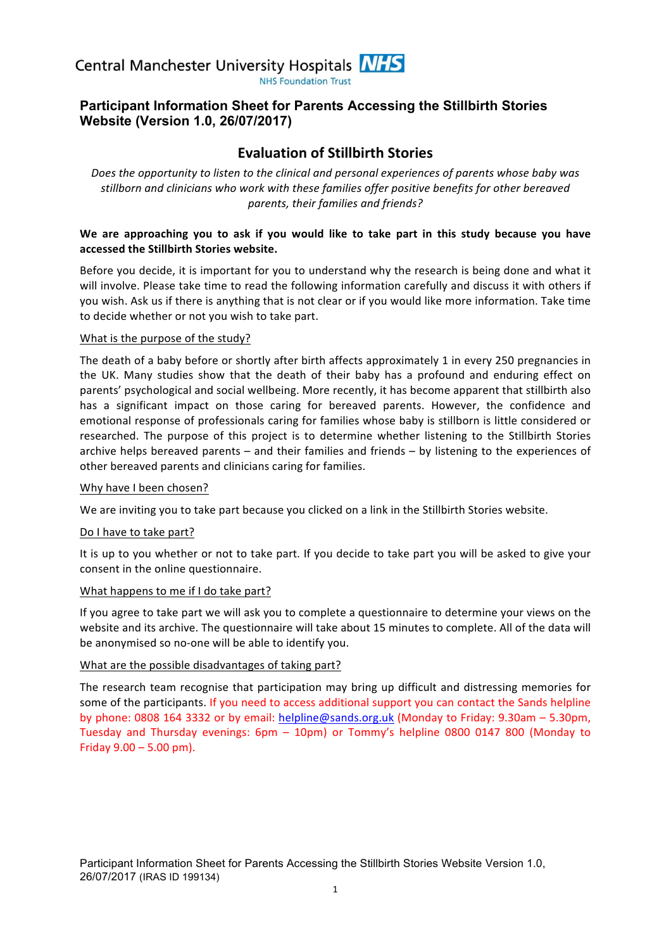

## **Participant Information Sheet for Parents Accessing the Stillbirth Stories Website (Version 1.0, 26/07/2017)**

# **Evaluation of Stillbirth Stories**

*Does the opportunity to listen to the clinical and personal experiences of parents whose baby was stillborn and clinicians who work with these families offer positive benefits for other bereaved parents, their families and friends?*

#### We are approaching you to ask if you would like to take part in this study because you have **accessed the Stillbirth Stories website.**

Before you decide, it is important for you to understand why the research is being done and what it will involve. Please take time to read the following information carefully and discuss it with others if you wish. Ask us if there is anything that is not clear or if you would like more information. Take time to decide whether or not you wish to take part.

#### What is the purpose of the study?

The death of a baby before or shortly after birth affects approximately 1 in every 250 pregnancies in the UK. Many studies show that the death of their baby has a profound and enduring effect on parents' psychological and social wellbeing. More recently, it has become apparent that stillbirth also has a significant impact on those caring for bereaved parents. However, the confidence and emotional response of professionals caring for families whose baby is stillborn is little considered or researched. The purpose of this project is to determine whether listening to the Stillbirth Stories archive helps bereaved parents  $-$  and their families and friends  $-$  by listening to the experiences of other bereaved parents and clinicians caring for families.

#### Why have I been chosen?

We are inviting you to take part because you clicked on a link in the Stillbirth Stories website.

#### Do I have to take part?

It is up to you whether or not to take part. If you decide to take part you will be asked to give your consent in the online questionnaire.

#### What happens to me if I do take part?

If you agree to take part we will ask you to complete a questionnaire to determine your views on the website and its archive. The questionnaire will take about 15 minutes to complete. All of the data will be anonymised so no-one will be able to identify you.

#### What are the possible disadvantages of taking part?

The research team recognise that participation may bring up difficult and distressing memories for some of the participants. If you need to access additional support you can contact the Sands helpline by phone: 0808 164 3332 or by email: helpline@sands.org.uk (Monday to Friday: 9.30am - 5.30pm, Tuesday and Thursday evenings: 6pm - 10pm) or Tommy's helpline 0800 0147 800 (Monday to Friday  $9.00 - 5.00$  pm).

Participant Information Sheet for Parents Accessing the Stillbirth Stories Website Version 1.0, 26/07/2017 (IRAS ID 199134)